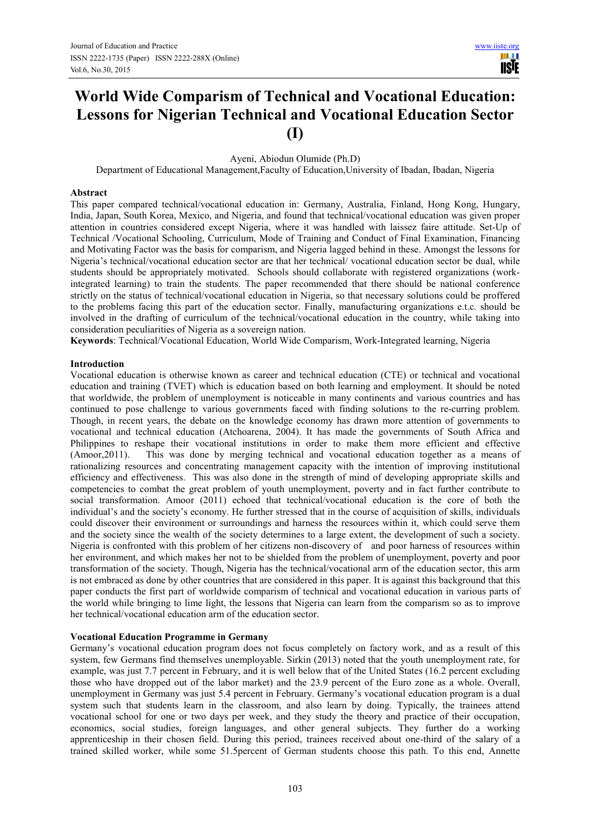H **USIE** 

# **World Wide Comparism of Technical and Vocational Education: Lessons for Nigerian Technical and Vocational Education Sector (I)**

Ayeni, Abiodun Olumide (Ph.D)

Department of Educational Management,Faculty of Education,University of Ibadan, Ibadan, Nigeria

# **Abstract**

This paper compared technical/vocational education in: Germany, Australia, Finland, Hong Kong, Hungary, India, Japan, South Korea, Mexico, and Nigeria, and found that technical/vocational education was given proper attention in countries considered except Nigeria, where it was handled with laissez faire attitude. Set-Up of Technical /Vocational Schooling, Curriculum, Mode of Training and Conduct of Final Examination, Financing and Motivating Factor was the basis for comparism, and Nigeria lagged behind in these. Amongst the lessons for Nigeria's technical/vocational education sector are that her technical/ vocational education sector be dual, while students should be appropriately motivated. Schools should collaborate with registered organizations (workintegrated learning) to train the students. The paper recommended that there should be national conference strictly on the status of technical/vocational education in Nigeria, so that necessary solutions could be proffered to the problems facing this part of the education sector. Finally, manufacturing organizations e.t.c. should be involved in the drafting of curriculum of the technical/vocational education in the country, while taking into consideration peculiarities of Nigeria as a sovereign nation.

**Keywords**: Technical/Vocational Education, World Wide Comparism, Work-Integrated learning, Nigeria

## **Introduction**

Vocational education is otherwise known as career and technical education (CTE) or technical and vocational education and training (TVET) which is education based on both learning and employment. It should be noted that worldwide, the problem of unemployment is noticeable in many continents and various countries and has continued to pose challenge to various governments faced with finding solutions to the re-curring problem. Though, in recent years, the debate on the knowledge economy has drawn more attention of governments to vocational and technical education (Atchoarena, 2004). It has made the governments of South Africa and Philippines to reshape their vocational institutions in order to make them more efficient and effective (Amoor,2011). This was done by merging technical and vocational education together as a means of rationalizing resources and concentrating management capacity with the intention of improving institutional efficiency and effectiveness. This was also done in the strength of mind of developing appropriate skills and competencies to combat the great problem of youth unemployment, poverty and in fact further contribute to social transformation. Amoor (2011) echoed that technical/vocational education is the core of both the individual's and the society's economy. He further stressed that in the course of acquisition of skills, individuals could discover their environment or surroundings and harness the resources within it, which could serve them and the society since the wealth of the society determines to a large extent, the development of such a society. Nigeria is confronted with this problem of her citizens non-discovery of and poor harness of resources within her environment, and which makes her not to be shielded from the problem of unemployment, poverty and poor transformation of the society. Though, Nigeria has the technical/vocational arm of the education sector, this arm is not embraced as done by other countries that are considered in this paper. It is against this background that this paper conducts the first part of worldwide comparism of technical and vocational education in various parts of the world while bringing to lime light, the lessons that Nigeria can learn from the comparism so as to improve her technical/vocational education arm of the education sector.

## **Vocational Education Programme in Germany**

Germany's vocational education program does not focus completely on factory work, and as a result of this system, few Germans find themselves unemployable. Sirkin (2013) noted that the youth unemployment rate, for example, was just 7.7 percent in February, and it is well below that of the United States (16.2 percent excluding those who have dropped out of the labor market) and the 23.9 percent of the Euro zone as a whole. Overall, unemployment in Germany was just 5.4 percent in February. Germany's vocational education program is a dual system such that students learn in the classroom, and also learn by doing. Typically, the trainees attend vocational school for one or two days per week, and they study the theory and practice of their occupation, economics, social studies, foreign languages, and other general subjects. They further do a working apprenticeship in their chosen field. During this period, trainees received about one-third of the salary of a trained skilled worker, while some 51.5percent of German students choose this path. To this end, Annette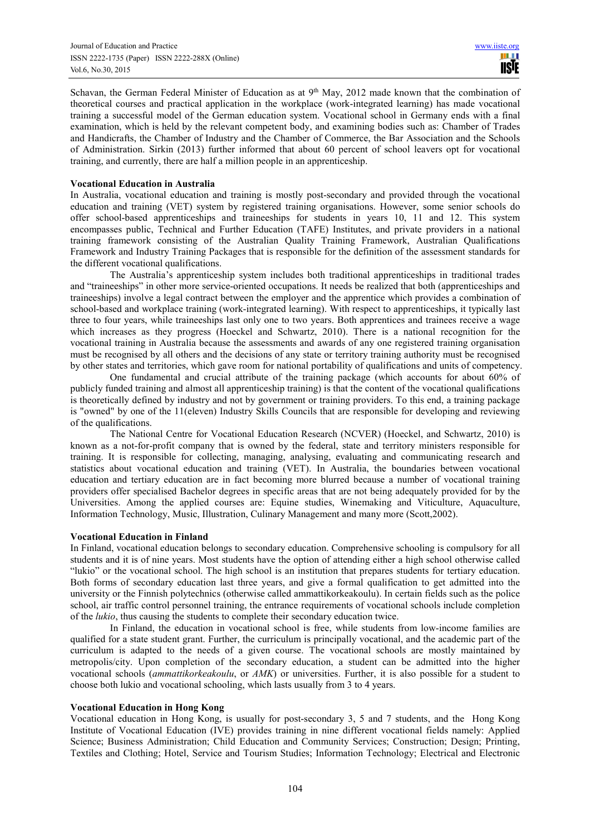Schavan, the German Federal Minister of Education as at 9<sup>th</sup> May, 2012 made known that the combination of theoretical courses and practical application in the workplace (work-integrated learning) has made vocational training a successful model of the German education system. Vocational school in Germany ends with a final examination, which is held by the relevant competent body, and examining bodies such as: Chamber of Trades and Handicrafts, the Chamber of Industry and the Chamber of Commerce, the Bar Association and the Schools of Administration. Sirkin (2013) further informed that about 60 percent of school leavers opt for vocational training, and currently, there are half a million people in an apprenticeship.

# **Vocational Education in Australia**

In Australia, vocational education and training is mostly post-secondary and provided through the vocational education and training (VET) system by registered training organisations. However, some senior schools do offer school-based apprenticeships and traineeships for students in years 10, 11 and 12. This system encompasses public, Technical and Further Education (TAFE) Institutes, and private providers in a national training framework consisting of the Australian Quality Training Framework, Australian Qualifications Framework and Industry Training Packages that is responsible for the definition of the assessment standards for the different vocational qualifications.

The Australia's apprenticeship system includes both traditional apprenticeships in traditional trades and "traineeships" in other more service-oriented occupations. It needs be realized that both (apprenticeships and traineeships) involve a legal contract between the employer and the apprentice which provides a combination of school-based and workplace training (work-integrated learning). With respect to apprenticeships, it typically last three to four years, while traineeships last only one to two years. Both apprentices and trainees receive a wage which increases as they progress (Hoeckel and Schwartz, 2010). There is a national recognition for the vocational training in Australia because the assessments and awards of any one registered training organisation must be recognised by all others and the decisions of any state or territory training authority must be recognised by other states and territories, which gave room for national portability of qualifications and units of competency.

One fundamental and crucial attribute of the training package (which accounts for about 60% of publicly funded training and almost all apprenticeship training) is that the content of the vocational qualifications is theoretically defined by industry and not by government or training providers. To this end, a training package is "owned" by one of the 11(eleven) Industry Skills Councils that are responsible for developing and reviewing of the qualifications.

The National Centre for Vocational Education Research (NCVER) (Hoeckel, and Schwartz, 2010) is known as a not-for-profit company that is owned by the federal, state and territory ministers responsible for training. It is responsible for collecting, managing, analysing, evaluating and communicating research and statistics about vocational education and training (VET). In Australia, the boundaries between vocational education and tertiary education are in fact becoming more blurred because a number of vocational training providers offer specialised Bachelor degrees in specific areas that are not being adequately provided for by the Universities. Among the applied courses are: Equine studies, Winemaking and Viticulture, Aquaculture, Information Technology, Music, Illustration, Culinary Management and many more (Scott,2002).

## **Vocational Education in Finland**

In Finland, vocational education belongs to secondary education. Comprehensive schooling is compulsory for all students and it is of nine years. Most students have the option of attending either a high school otherwise called "lukio" or the vocational school. The high school is an institution that prepares students for tertiary education. Both forms of secondary education last three years, and give a formal qualification to get admitted into the university or the Finnish polytechnics (otherwise called ammattikorkeakoulu). In certain fields such as the police school, air traffic control personnel training, the entrance requirements of vocational schools include completion of the *lukio*, thus causing the students to complete their secondary education twice.

In Finland, the education in vocational school is free, while students from low-income families are qualified for a state student grant. Further, the curriculum is principally vocational, and the academic part of the curriculum is adapted to the needs of a given course. The vocational schools are mostly maintained by metropolis/city. Upon completion of the secondary education, a student can be admitted into the higher vocational schools (*ammattikorkeakoulu*, or *AMK*) or universities. Further, it is also possible for a student to choose both lukio and vocational schooling, which lasts usually from 3 to 4 years.

## **Vocational Education in Hong Kong**

Vocational education in Hong Kong, is usually for post-secondary 3, 5 and 7 students, and the Hong Kong Institute of Vocational Education (IVE) provides training in nine different vocational fields namely: Applied Science; Business Administration; Child Education and Community Services; Construction; Design; Printing, Textiles and Clothing; Hotel, Service and Tourism Studies; Information Technology; Electrical and Electronic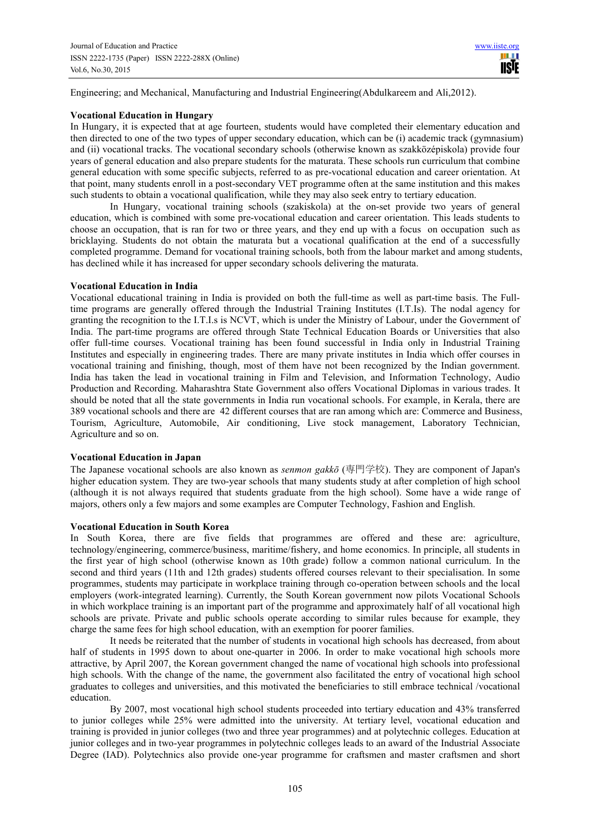Engineering; and Mechanical, Manufacturing and Industrial Engineering(Abdulkareem and Ali,2012).

## **Vocational Education in Hungary**

In Hungary, it is expected that at age fourteen, students would have completed their elementary education and then directed to one of the two types of upper secondary education, which can be (i) academic track (gymnasium) and (ii) vocational tracks. The vocational secondary schools (otherwise known as szakközépiskola) provide four years of general education and also prepare students for the maturata. These schools run curriculum that combine general education with some specific subjects, referred to as pre-vocational education and career orientation. At that point, many students enroll in a post-secondary VET programme often at the same institution and this makes such students to obtain a vocational qualification, while they may also seek entry to tertiary education.

In Hungary, vocational training schools (szakiskola) at the on-set provide two years of general education, which is combined with some pre-vocational education and career orientation. This leads students to choose an occupation, that is ran for two or three years, and they end up with a focus on occupation such as bricklaying. Students do not obtain the maturata but a vocational qualification at the end of a successfully completed programme. Demand for vocational training schools, both from the labour market and among students, has declined while it has increased for upper secondary schools delivering the maturata.

# **Vocational Education in India**

Vocational educational training in India is provided on both the full-time as well as part-time basis. The Fulltime programs are generally offered through the Industrial Training Institutes (I.T.Is). The nodal agency for granting the recognition to the I.T.I.s is NCVT, which is under the Ministry of Labour, under the Government of India. The part-time programs are offered through State Technical Education Boards or Universities that also offer full-time courses. Vocational training has been found successful in India only in Industrial Training Institutes and especially in engineering trades. There are many private institutes in India which offer courses in vocational training and finishing, though, most of them have not been recognized by the Indian government. India has taken the lead in vocational training in Film and Television, and Information Technology, Audio Production and Recording. Maharashtra State Government also offers Vocational Diplomas in various trades. It should be noted that all the state governments in India run vocational schools. For example, in Kerala, there are 389 vocational schools and there are 42 different courses that are ran among which are: Commerce and Business, Tourism, Agriculture, Automobile, Air conditioning, Live stock management, Laboratory Technician, Agriculture and so on.

# **Vocational Education in Japan**

The Japanese vocational schools are also known as *senmon gakkō* (専門学校). They are component of Japan's higher education system. They are two-year schools that many students study at after completion of high school (although it is not always required that students graduate from the high school). Some have a wide range of majors, others only a few majors and some examples are Computer Technology, Fashion and English.

# **Vocational Education in South Korea**

In South Korea, there are five fields that programmes are offered and these are: agriculture, technology/engineering, commerce/business, maritime/fishery, and home economics. In principle, all students in the first year of high school (otherwise known as 10th grade) follow a common national curriculum. In the second and third years (11th and 12th grades) students offered courses relevant to their specialisation. In some programmes, students may participate in workplace training through co-operation between schools and the local employers (work-integrated learning). Currently, the South Korean government now pilots Vocational Schools in which workplace training is an important part of the programme and approximately half of all vocational high schools are private. Private and public schools operate according to similar rules because for example, they charge the same fees for high school education, with an exemption for poorer families.

It needs be reiterated that the number of students in vocational high schools has decreased, from about half of students in 1995 down to about one-quarter in 2006. In order to make vocational high schools more attractive, by April 2007, the Korean government changed the name of vocational high schools into professional high schools. With the change of the name, the government also facilitated the entry of vocational high school graduates to colleges and universities, and this motivated the beneficiaries to still embrace technical /vocational education.

By 2007, most vocational high school students proceeded into tertiary education and 43% transferred to junior colleges while 25% were admitted into the university. At tertiary level, vocational education and training is provided in junior colleges (two and three year programmes) and at polytechnic colleges. Education at junior colleges and in two-year programmes in polytechnic colleges leads to an award of the Industrial Associate Degree (IAD). Polytechnics also provide one-year programme for craftsmen and master craftsmen and short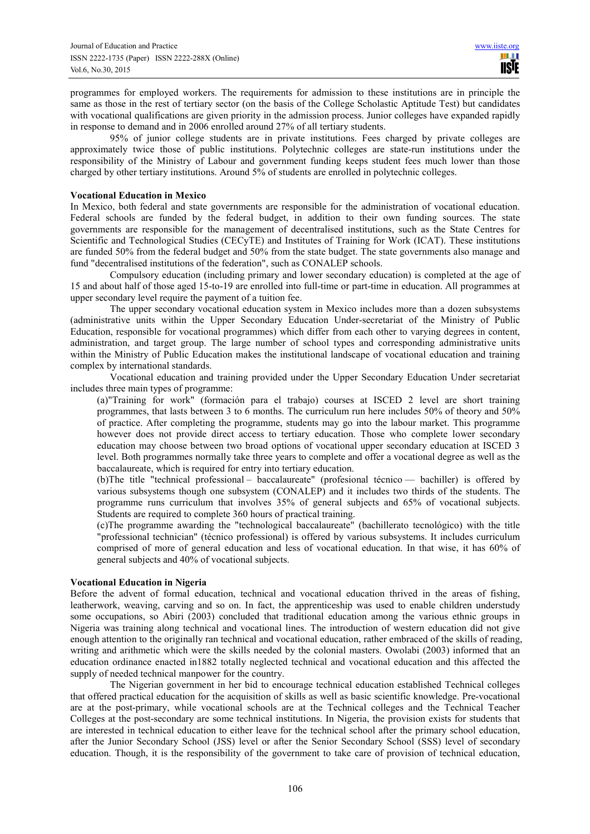programmes for employed workers. The requirements for admission to these institutions are in principle the same as those in the rest of tertiary sector (on the basis of the College Scholastic Aptitude Test) but candidates with vocational qualifications are given priority in the admission process. Junior colleges have expanded rapidly in response to demand and in 2006 enrolled around 27% of all tertiary students.

95% of junior college students are in private institutions. Fees charged by private colleges are approximately twice those of public institutions. Polytechnic colleges are state-run institutions under the responsibility of the Ministry of Labour and government funding keeps student fees much lower than those charged by other tertiary institutions. Around 5% of students are enrolled in polytechnic colleges.

# **Vocational Education in Mexico**

In Mexico, both federal and state governments are responsible for the administration of vocational education. Federal schools are funded by the federal budget, in addition to their own funding sources. The state governments are responsible for the management of decentralised institutions, such as the State Centres for Scientific and Technological Studies (CECyTE) and Institutes of Training for Work (ICAT). These institutions are funded 50% from the federal budget and 50% from the state budget. The state governments also manage and fund "decentralised institutions of the federation", such as CONALEP schools.

Compulsory education (including primary and lower secondary education) is completed at the age of 15 and about half of those aged 15-to-19 are enrolled into full-time or part-time in education. All programmes at upper secondary level require the payment of a tuition fee.

The upper secondary vocational education system in Mexico includes more than a dozen subsystems (administrative units within the Upper Secondary Education Under-secretariat of the Ministry of Public Education, responsible for vocational programmes) which differ from each other to varying degrees in content, administration, and target group. The large number of school types and corresponding administrative units within the Ministry of Public Education makes the institutional landscape of vocational education and training complex by international standards.

Vocational education and training provided under the Upper Secondary Education Under secretariat includes three main types of programme:

(a)"Training for work" (formación para el trabajo) courses at ISCED 2 level are short training programmes, that lasts between 3 to 6 months. The curriculum run here includes 50% of theory and 50% of practice. After completing the programme, students may go into the labour market. This programme however does not provide direct access to tertiary education. Those who complete lower secondary education may choose between two broad options of vocational upper secondary education at ISCED 3 level. Both programmes normally take three years to complete and offer a vocational degree as well as the baccalaureate, which is required for entry into tertiary education.

(b)The title "technical professional – baccalaureate" (profesional técnico — bachiller) is offered by various subsystems though one subsystem (CONALEP) and it includes two thirds of the students. The programme runs curriculum that involves 35% of general subjects and 65% of vocational subjects. Students are required to complete 360 hours of practical training.

(c)The programme awarding the "technological baccalaureate" (bachillerato tecnológico) with the title "professional technician" (técnico professional) is offered by various subsystems. It includes curriculum comprised of more of general education and less of vocational education. In that wise, it has 60% of general subjects and 40% of vocational subjects.

## **Vocational Education in Nigeria**

Before the advent of formal education, technical and vocational education thrived in the areas of fishing, leatherwork, weaving, carving and so on. In fact, the apprenticeship was used to enable children understudy some occupations, so Abiri (2003) concluded that traditional education among the various ethnic groups in Nigeria was training along technical and vocational lines. The introduction of western education did not give enough attention to the originally ran technical and vocational education, rather embraced of the skills of reading, writing and arithmetic which were the skills needed by the colonial masters. Owolabi (2003) informed that an education ordinance enacted in1882 totally neglected technical and vocational education and this affected the supply of needed technical manpower for the country.

The Nigerian government in her bid to encourage technical education established Technical colleges that offered practical education for the acquisition of skills as well as basic scientific knowledge. Pre-vocational are at the post-primary, while vocational schools are at the Technical colleges and the Technical Teacher Colleges at the post-secondary are some technical institutions. In Nigeria, the provision exists for students that are interested in technical education to either leave for the technical school after the primary school education, after the Junior Secondary School (JSS) level or after the Senior Secondary School (SSS) level of secondary education. Though, it is the responsibility of the government to take care of provision of technical education,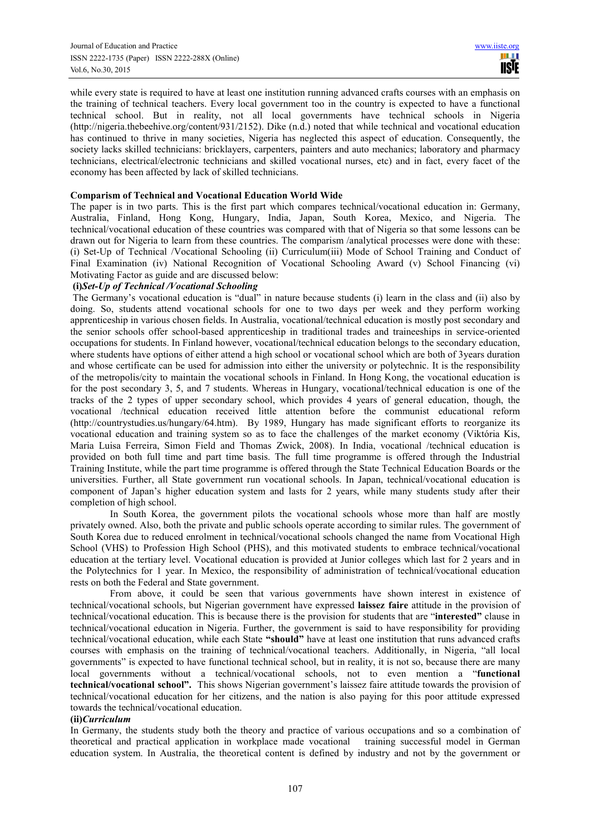while every state is required to have at least one institution running advanced crafts courses with an emphasis on the training of technical teachers. Every local government too in the country is expected to have a functional technical school. But in reality, not all local governments have technical schools in Nigeria (http://nigeria.thebeehive.org/content/931/2152). Dike (n.d.) noted that while technical and vocational education has continued to thrive in many societies. Nigeria has neglected this aspect of education. Consequently, the society lacks skilled technicians: bricklayers, carpenters, painters and auto mechanics; laboratory and pharmacy technicians, electrical/electronic technicians and skilled vocational nurses, etc) and in fact, every facet of the economy has been affected by lack of skilled technicians.

# **Comparism of Technical and Vocational Education World Wide**

The paper is in two parts. This is the first part which compares technical/vocational education in: Germany, Australia, Finland, Hong Kong, Hungary, India, Japan, South Korea, Mexico, and Nigeria. The technical/vocational education of these countries was compared with that of Nigeria so that some lessons can be drawn out for Nigeria to learn from these countries. The comparism /analytical processes were done with these: (i) Set-Up of Technical /Vocational Schooling (ii) Curriculum(iii) Mode of School Training and Conduct of Final Examination (iv) National Recognition of Vocational Schooling Award (v) School Financing (vi) Motivating Factor as guide and are discussed below:

# **(i)***Set-Up of Technical /Vocational Schooling*

The Germany's vocational education is "dual" in nature because students (i) learn in the class and (ii) also by doing. So, students attend vocational schools for one to two days per week and they perform working apprenticeship in various chosen fields. In Australia, vocational/technical education is mostly post secondary and the senior schools offer school-based apprenticeship in traditional trades and traineeships in service-oriented occupations for students. In Finland however, vocational/technical education belongs to the secondary education, where students have options of either attend a high school or vocational school which are both of 3years duration and whose certificate can be used for admission into either the university or polytechnic. It is the responsibility of the metropolis/city to maintain the vocational schools in Finland. In Hong Kong, the vocational education is for the post secondary 3, 5, and 7 students. Whereas in Hungary, vocational/technical education is one of the tracks of the 2 types of upper secondary school, which provides 4 years of general education, though, the vocational /technical education received little attention before the communist educational reform (http://countrystudies.us/hungary/64.htm). By 1989, Hungary has made significant efforts to reorganize its vocational education and training system so as to face the challenges of the market economy (Viktória Kis, Maria Luisa Ferreira, Simon Field and Thomas Zwick, 2008). In India, vocational /technical education is provided on both full time and part time basis. The full time programme is offered through the Industrial Training Institute, while the part time programme is offered through the State Technical Education Boards or the universities. Further, all State government run vocational schools. In Japan, technical/vocational education is component of Japan's higher education system and lasts for 2 years, while many students study after their completion of high school.

In South Korea, the government pilots the vocational schools whose more than half are mostly privately owned. Also, both the private and public schools operate according to similar rules. The government of South Korea due to reduced enrolment in technical/vocational schools changed the name from Vocational High School (VHS) to Profession High School (PHS), and this motivated students to embrace technical/vocational education at the tertiary level. Vocational education is provided at Junior colleges which last for 2 years and in the Polytechnics for 1 year. In Mexico, the responsibility of administration of technical/vocational education rests on both the Federal and State government.

From above, it could be seen that various governments have shown interest in existence of technical/vocational schools, but Nigerian government have expressed **laissez faire** attitude in the provision of technical/vocational education. This is because there is the provision for students that are "**interested"** clause in technical/vocational education in Nigeria. Further, the government is said to have responsibility for providing technical/vocational education, while each State **"should"** have at least one institution that runs advanced crafts courses with emphasis on the training of technical/vocational teachers. Additionally, in Nigeria, "all local governments" is expected to have functional technical school, but in reality, it is not so, because there are many local governments without a technical/vocational schools, not to even mention a "**functional technical/vocational school".** This shows Nigerian government's laissez faire attitude towards the provision of technical/vocational education for her citizens, and the nation is also paying for this poor attitude expressed towards the technical/vocational education.

# **(ii)***Curriculum*

In Germany, the students study both the theory and practice of various occupations and so a combination of theoretical and practical application in workplace made vocational training successful model in German education system. In Australia, the theoretical content is defined by industry and not by the government or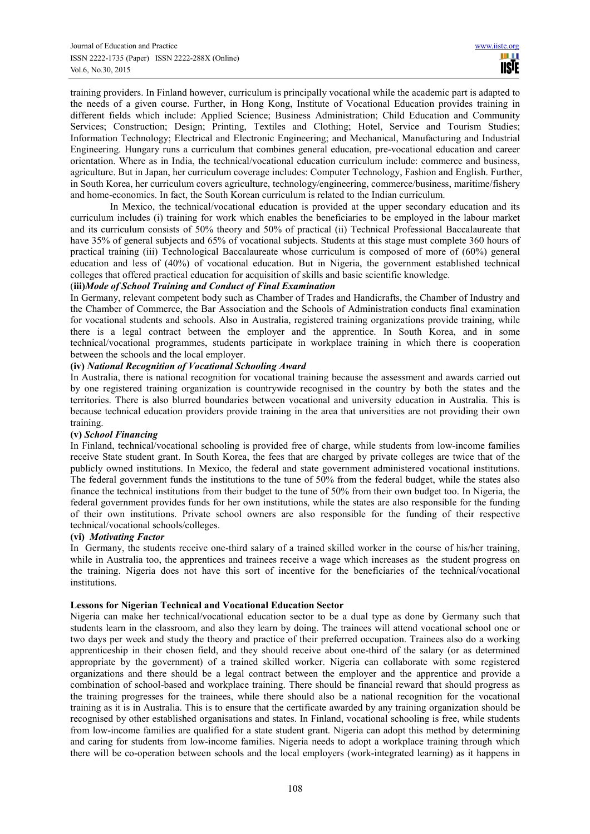training providers. In Finland however, curriculum is principally vocational while the academic part is adapted to the needs of a given course. Further, in Hong Kong, Institute of Vocational Education provides training in different fields which include: Applied Science; Business Administration; Child Education and Community Services; Construction; Design; Printing, Textiles and Clothing; Hotel, Service and Tourism Studies; Information Technology; Electrical and Electronic Engineering; and Mechanical, Manufacturing and Industrial Engineering. Hungary runs a curriculum that combines general education, pre-vocational education and career orientation. Where as in India, the technical/vocational education curriculum include: commerce and business, agriculture. But in Japan, her curriculum coverage includes: Computer Technology, Fashion and English. Further, in South Korea, her curriculum covers agriculture, technology/engineering, commerce/business, maritime/fishery and home-economics. In fact, the South Korean curriculum is related to the Indian curriculum.

In Mexico, the technical/vocational education is provided at the upper secondary education and its curriculum includes (i) training for work which enables the beneficiaries to be employed in the labour market and its curriculum consists of 50% theory and 50% of practical (ii) Technical Professional Baccalaureate that have 35% of general subjects and 65% of vocational subjects. Students at this stage must complete 360 hours of practical training (iii) Technological Baccalaureate whose curriculum is composed of more of (60%) general education and less of (40%) of vocational education. But in Nigeria, the government established technical colleges that offered practical education for acquisition of skills and basic scientific knowledge.

# (**iii)***Mode of School Training and Conduct of Final Examination*

In Germany, relevant competent body such as Chamber of Trades and Handicrafts, the Chamber of Industry and the Chamber of Commerce, the Bar Association and the Schools of Administration conducts final examination for vocational students and schools. Also in Australia, registered training organizations provide training, while there is a legal contract between the employer and the apprentice. In South Korea, and in some technical/vocational programmes, students participate in workplace training in which there is cooperation between the schools and the local employer.

# **(iv)** *National Recognition of Vocational Schooling Award*

In Australia, there is national recognition for vocational training because the assessment and awards carried out by one registered training organization is countrywide recognised in the country by both the states and the territories. There is also blurred boundaries between vocational and university education in Australia. This is because technical education providers provide training in the area that universities are not providing their own training.

## **(v)** *School Financing*

In Finland, technical/vocational schooling is provided free of charge, while students from low-income families receive State student grant. In South Korea, the fees that are charged by private colleges are twice that of the publicly owned institutions. In Mexico, the federal and state government administered vocational institutions. The federal government funds the institutions to the tune of 50% from the federal budget, while the states also finance the technical institutions from their budget to the tune of 50% from their own budget too. In Nigeria, the federal government provides funds for her own institutions, while the states are also responsible for the funding of their own institutions. Private school owners are also responsible for the funding of their respective technical/vocational schools/colleges.

## **(vi)** *Motivating Factor*

In Germany, the students receive one-third salary of a trained skilled worker in the course of his/her training, while in Australia too, the apprentices and trainees receive a wage which increases as the student progress on the training. Nigeria does not have this sort of incentive for the beneficiaries of the technical/vocational institutions.

## **Lessons for Nigerian Technical and Vocational Education Sector**

Nigeria can make her technical/vocational education sector to be a dual type as done by Germany such that students learn in the classroom, and also they learn by doing. The trainees will attend vocational school one or two days per week and study the theory and practice of their preferred occupation. Trainees also do a working apprenticeship in their chosen field, and they should receive about one-third of the salary (or as determined appropriate by the government) of a trained skilled worker. Nigeria can collaborate with some registered organizations and there should be a legal contract between the employer and the apprentice and provide a combination of school-based and workplace training. There should be financial reward that should progress as the training progresses for the trainees, while there should also be a national recognition for the vocational training as it is in Australia. This is to ensure that the certificate awarded by any training organization should be recognised by other established organisations and states. In Finland, vocational schooling is free, while students from low-income families are qualified for a state student grant. Nigeria can adopt this method by determining and caring for students from low-income families. Nigeria needs to adopt a workplace training through which there will be co-operation between schools and the local employers (work-integrated learning) as it happens in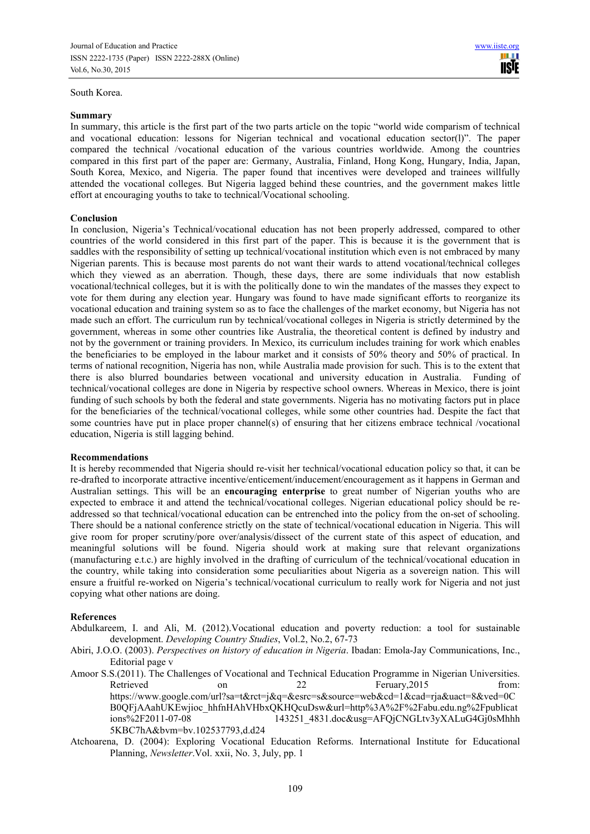South Korea.

In summary, this article is the first part of the two parts article on the topic "world wide comparism of technical and vocational education: lessons for Nigerian technical and vocational education sector(l)". The paper compared the technical /vocational education of the various countries worldwide. Among the countries compared in this first part of the paper are: Germany, Australia, Finland, Hong Kong, Hungary, India, Japan, South Korea, Mexico, and Nigeria. The paper found that incentives were developed and trainees willfully attended the vocational colleges. But Nigeria lagged behind these countries, and the government makes little effort at encouraging youths to take to technical/Vocational schooling.

# **Conclusion**

In conclusion, Nigeria's Technical/vocational education has not been properly addressed, compared to other countries of the world considered in this first part of the paper. This is because it is the government that is saddles with the responsibility of setting up technical/vocational institution which even is not embraced by many Nigerian parents. This is because most parents do not want their wards to attend vocational/technical colleges which they viewed as an aberration. Though, these days, there are some individuals that now establish vocational/technical colleges, but it is with the politically done to win the mandates of the masses they expect to vote for them during any election year. Hungary was found to have made significant efforts to reorganize its vocational education and training system so as to face the challenges of the market economy, but Nigeria has not made such an effort. The curriculum run by technical/vocational colleges in Nigeria is strictly determined by the government, whereas in some other countries like Australia, the theoretical content is defined by industry and not by the government or training providers. In Mexico, its curriculum includes training for work which enables the beneficiaries to be employed in the labour market and it consists of 50% theory and 50% of practical. In terms of national recognition, Nigeria has non, while Australia made provision for such. This is to the extent that there is also blurred boundaries between vocational and university education in Australia. Funding of technical/vocational colleges are done in Nigeria by respective school owners. Whereas in Mexico, there is joint funding of such schools by both the federal and state governments. Nigeria has no motivating factors put in place for the beneficiaries of the technical/vocational colleges, while some other countries had. Despite the fact that some countries have put in place proper channel(s) of ensuring that her citizens embrace technical /vocational education, Nigeria is still lagging behind.

## **Recommendations**

It is hereby recommended that Nigeria should re-visit her technical/vocational education policy so that, it can be re-drafted to incorporate attractive incentive/enticement/inducement/encouragement as it happens in German and Australian settings. This will be an **encouraging enterprise** to great number of Nigerian youths who are expected to embrace it and attend the technical/vocational colleges. Nigerian educational policy should be readdressed so that technical/vocational education can be entrenched into the policy from the on-set of schooling. There should be a national conference strictly on the state of technical/vocational education in Nigeria. This will give room for proper scrutiny/pore over/analysis/dissect of the current state of this aspect of education, and meaningful solutions will be found. Nigeria should work at making sure that relevant organizations (manufacturing e.t.c.) are highly involved in the drafting of curriculum of the technical/vocational education in the country, while taking into consideration some peculiarities about Nigeria as a sovereign nation. This will ensure a fruitful re-worked on Nigeria's technical/vocational curriculum to really work for Nigeria and not just copying what other nations are doing.

## **References**

Abdulkareem, I. and Ali, M. (2012).Vocational education and poverty reduction: a tool for sustainable development. *Developing Country Studies*, Vol.2, No.2, 67-73

- Abiri, J.O.O. (2003). *Perspectives on history of education in Nigeria*. Ibadan: Emola-Jay Communications, Inc., Editorial page v
- Amoor S.S.(2011). The Challenges of Vocational and Technical Education Programme in Nigerian Universities. Retrieved on 22 Feruary, 2015 from: https://www.google.com/url?sa=t&rct=j&q=&esrc=s&source=web&cd=1&cad=rja&uact=8&ved=0C B0QFjAAahUKEwjioc\_hhfnHAhVHbxQKHQcuDsw&url=http%3A%2F%2Fabu.edu.ng%2Fpublicat ions%2F2011-07-08 143251\_4831.doc&usg=AFQjCNGLtv3yXALuG4Gj0sMhhh 5KBC7hA&bvm=bv.102537793,d.d24
- Atchoarena, D. (2004): Exploring Vocational Education Reforms. International Institute for Educational Planning, *Newsletter*.Vol. xxii, No. 3, July, pp. 1